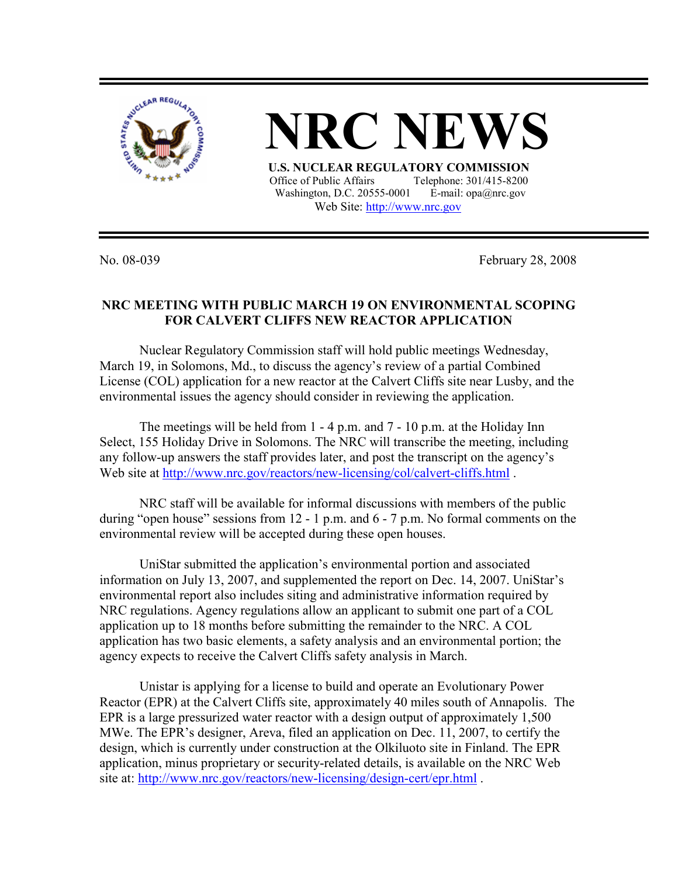

**NRC NEWS**

 **U.S. NUCLEAR REGULATORY COMMISSION** Office of Public Affairs Telephone: 301/415-8200 Washington, D.C. 20555-0001 E-mail: opa@nrc.gov Web Site: http://www.nrc.gov

No. 08-039 February 28, 2008

## **NRC MEETING WITH PUBLIC MARCH 19 ON ENVIRONMENTAL SCOPING FOR CALVERT CLIFFS NEW REACTOR APPLICATION**

 Nuclear Regulatory Commission staff will hold public meetings Wednesday, March 19, in Solomons, Md., to discuss the agency's review of a partial Combined License (COL) application for a new reactor at the Calvert Cliffs site near Lusby, and the environmental issues the agency should consider in reviewing the application.

 The meetings will be held from 1 - 4 p.m. and 7 - 10 p.m. at the Holiday Inn Select, 155 Holiday Drive in Solomons. The NRC will transcribe the meeting, including any follow-up answers the staff provides later, and post the transcript on the agency's Web site at http://www.nrc.gov/reactors/new-licensing/col/calvert-cliffs.html.

NRC staff will be available for informal discussions with members of the public during "open house" sessions from 12 - 1 p.m. and 6 - 7 p.m. No formal comments on the environmental review will be accepted during these open houses.

UniStar submitted the application's environmental portion and associated information on July 13, 2007, and supplemented the report on Dec. 14, 2007. UniStar's environmental report also includes siting and administrative information required by NRC regulations. Agency regulations allow an applicant to submit one part of a COL application up to 18 months before submitting the remainder to the NRC. A COL application has two basic elements, a safety analysis and an environmental portion; the agency expects to receive the Calvert Cliffs safety analysis in March.

Unistar is applying for a license to build and operate an Evolutionary Power Reactor (EPR) at the Calvert Cliffs site, approximately 40 miles south of Annapolis. The EPR is a large pressurized water reactor with a design output of approximately 1,500 MWe. The EPR's designer, Areva, filed an application on Dec. 11, 2007, to certify the design, which is currently under construction at the Olkiluoto site in Finland. The EPR application, minus proprietary or security-related details, is available on the NRC Web site at: http://www.nrc.gov/reactors/new-licensing/design-cert/epr.html.